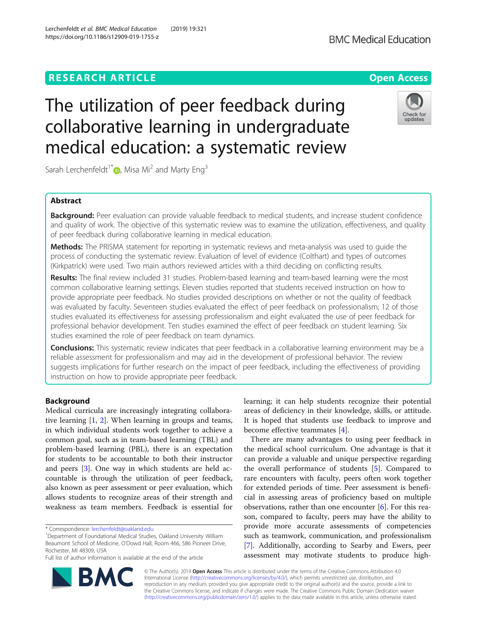## **RESEARCH ARTICLE Example 2014 12:30 The Contract of Contract ACCESS**

# The utilization of peer feedback during collaborative learning in undergraduate medical education: a systematic review

Sarah Lerchenfeldt<sup>1\*</sup> $\bullet$ , Misa Mi<sup>2</sup> and Marty Eng<sup>3</sup>

### Abstract

Background: Peer evaluation can provide valuable feedback to medical students, and increase student confidence and quality of work. The objective of this systematic review was to examine the utilization, effectiveness, and quality of peer feedback during collaborative learning in medical education.

Methods: The PRISMA statement for reporting in systematic reviews and meta-analysis was used to quide the process of conducting the systematic review. Evaluation of level of evidence (Colthart) and types of outcomes (Kirkpatrick) were used. Two main authors reviewed articles with a third deciding on conflicting results.

Results: The final review included 31 studies. Problem-based learning and team-based learning were the most common collaborative learning settings. Eleven studies reported that students received instruction on how to provide appropriate peer feedback. No studies provided descriptions on whether or not the quality of feedback was evaluated by faculty. Seventeen studies evaluated the effect of peer feedback on professionalism; 12 of those studies evaluated its effectiveness for assessing professionalism and eight evaluated the use of peer feedback for professional behavior development. Ten studies examined the effect of peer feedback on student learning. Six studies examined the role of peer feedback on team dynamics.

**Conclusions:** This systematic review indicates that peer feedback in a collaborative learning environment may be a reliable assessment for professionalism and may aid in the development of professional behavior. The review suggests implications for further research on the impact of peer feedback, including the effectiveness of providing instruction on how to provide appropriate peer feedback.

#### Background

Medical curricula are increasingly integrating collaborative learning [\[1](#page-8-0), [2\]](#page-8-0). When learning in groups and teams, in which individual students work together to achieve a common goal, such as in team-based learning (TBL) and problem-based learning (PBL), there is an expectation for students to be accountable to both their instructor and peers [[3\]](#page-8-0). One way in which students are held accountable is through the utilization of peer feedback, also known as peer assessment or peer evaluation, which allows students to recognize areas of their strength and weakness as team members. Feedback is essential for learning; it can help students recognize their potential areas of deficiency in their knowledge, skills, or attitude. It is hoped that students use feedback to improve and become effective teammates [[4\]](#page-8-0).

There are many advantages to using peer feedback in the medical school curriculum. One advantage is that it can provide a valuable and unique perspective regarding the overall performance of students [\[5](#page-8-0)]. Compared to rare encounters with faculty, peers often work together for extended periods of time. Peer assessment is beneficial in assessing areas of proficiency based on multiple observations, rather than one encounter [[6\]](#page-8-0). For this reason, compared to faculty, peers may have the ability to provide more accurate assessments of competencies such as teamwork, communication, and professionalism [[7\]](#page-8-0). Additionally, according to Searby and Ewers, peer assessment may motivate students to produce high-

© The Author(s). 2019 **Open Access** This article is distributed under the terms of the Creative Commons Attribution 4.0 International License [\(http://creativecommons.org/licenses/by/4.0/](http://creativecommons.org/licenses/by/4.0/)), which permits unrestricted use, distribution, and reproduction in any medium, provided you give appropriate credit to the original author(s) and the source, provide a link to the Creative Commons license, and indicate if changes were made. The Creative Commons Public Domain Dedication waiver [\(http://creativecommons.org/publicdomain/zero/1.0/](http://creativecommons.org/publicdomain/zero/1.0/)) applies to the data made available in this article, unless otherwise stated.







<sup>\*</sup> Correspondence: [lerchenfeldt@oakland.edu](mailto:lerchenfeldt@oakland.edu) <sup>1</sup>

<sup>&</sup>lt;sup>1</sup>Department of Foundational Medical Studies, Oakland University William Beaumont School of Medicine, O'Dowd Hall, Room 466, 586 Pioneer Drive, Rochester, MI 48309, USA

Full list of author information is available at the end of the article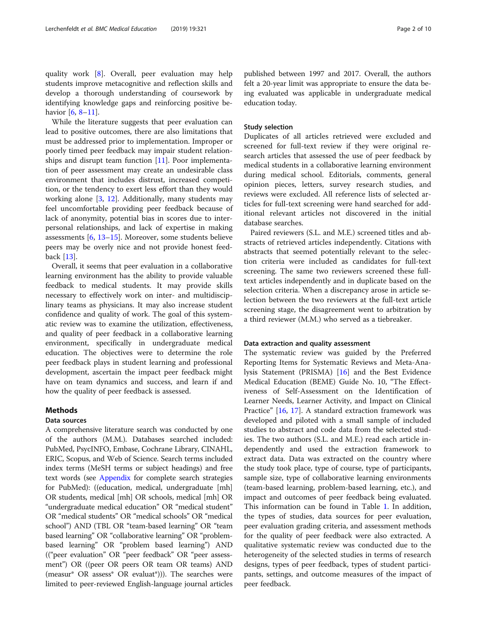quality work [\[8](#page-8-0)]. Overall, peer evaluation may help students improve metacognitive and reflection skills and develop a thorough understanding of coursework by identifying knowledge gaps and reinforcing positive be-havior [\[6](#page-8-0), [8](#page-8-0)–[11](#page-9-0)].

While the literature suggests that peer evaluation can lead to positive outcomes, there are also limitations that must be addressed prior to implementation. Improper or poorly timed peer feedback may impair student relationships and disrupt team function [[11\]](#page-9-0). Poor implementation of peer assessment may create an undesirable class environment that includes distrust, increased competition, or the tendency to exert less effort than they would working alone [[3,](#page-8-0) [12\]](#page-9-0). Additionally, many students may feel uncomfortable providing peer feedback because of lack of anonymity, potential bias in scores due to interpersonal relationships, and lack of expertise in making assessments [[6,](#page-8-0) [13](#page-9-0)–[15](#page-9-0)]. Moreover, some students believe peers may be overly nice and not provide honest feedback [[13](#page-9-0)].

Overall, it seems that peer evaluation in a collaborative learning environment has the ability to provide valuable feedback to medical students. It may provide skills necessary to effectively work on inter- and multidisciplinary teams as physicians. It may also increase student confidence and quality of work. The goal of this systematic review was to examine the utilization, effectiveness, and quality of peer feedback in a collaborative learning environment, specifically in undergraduate medical education. The objectives were to determine the role peer feedback plays in student learning and professional development, ascertain the impact peer feedback might have on team dynamics and success, and learn if and how the quality of peer feedback is assessed.

#### **Methods**

#### Data sources

A comprehensive literature search was conducted by one of the authors (M.M.). Databases searched included: PubMed, PsycINFO, Embase, Cochrane Library, CINAHL, ERIC, Scopus, and Web of Science. Search terms included index terms (MeSH terms or subject headings) and free text words (see [Appendix](#page-8-0) for complete search strategies for PubMed): ((education, medical, undergraduate [mh] OR students, medical [mh] OR schools, medical [mh] OR "undergraduate medical education" OR "medical student" OR "medical students" OR "medical schools" OR "medical school") AND (TBL OR "team-based learning" OR "team based learning" OR "collaborative learning" OR "problembased learning" OR "problem based learning") AND (("peer evaluation" OR "peer feedback" OR "peer assessment") OR ((peer OR peers OR team OR teams) AND (measur\* OR assess\* OR evaluat\*))). The searches were limited to peer-reviewed English-language journal articles

published between 1997 and 2017. Overall, the authors felt a 20-year limit was appropriate to ensure the data being evaluated was applicable in undergraduate medical education today.

#### Study selection

Duplicates of all articles retrieved were excluded and screened for full-text review if they were original research articles that assessed the use of peer feedback by medical students in a collaborative learning environment during medical school. Editorials, comments, general opinion pieces, letters, survey research studies, and reviews were excluded. All reference lists of selected articles for full-text screening were hand searched for additional relevant articles not discovered in the initial database searches.

Paired reviewers (S.L. and M.E.) screened titles and abstracts of retrieved articles independently. Citations with abstracts that seemed potentially relevant to the selection criteria were included as candidates for full-text screening. The same two reviewers screened these fulltext articles independently and in duplicate based on the selection criteria. When a discrepancy arose in article selection between the two reviewers at the full-text article screening stage, the disagreement went to arbitration by a third reviewer (M.M.) who served as a tiebreaker.

#### Data extraction and quality assessment

The systematic review was guided by the Preferred Reporting Items for Systematic Reviews and Meta-Analysis Statement (PRISMA) [[16\]](#page-9-0) and the Best Evidence Medical Education (BEME) Guide No. 10, "The Effectiveness of Self-Assessment on the Identification of Learner Needs, Learner Activity, and Impact on Clinical Practice" [[16](#page-9-0), [17\]](#page-9-0). A standard extraction framework was developed and piloted with a small sample of included studies to abstract and code data from the selected studies. The two authors (S.L. and M.E.) read each article independently and used the extraction framework to extract data. Data was extracted on the country where the study took place, type of course, type of participants, sample size, type of collaborative learning environments (team-based learning, problem-based learning, etc.), and impact and outcomes of peer feedback being evaluated. This information can be found in Table [1.](#page-2-0) In addition, the types of studies, data sources for peer evaluation, peer evaluation grading criteria, and assessment methods for the quality of peer feedback were also extracted. A qualitative systematic review was conducted due to the heterogeneity of the selected studies in terms of research designs, types of peer feedback, types of student participants, settings, and outcome measures of the impact of peer feedback.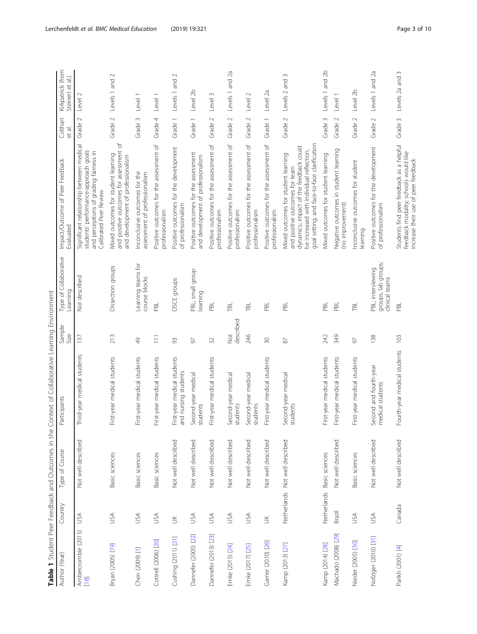<span id="page-2-0"></span>

|                               |         | <b>CONTROL DESCRIPTION AND PROPERTY OF A STATE PROPERTY OF A STATE STATE</b> | TIPITIO INTI DI ILITORI LE LE LA SITURIDO DI SINO IN INTERNATIONALE DI SINO IN INTERNATIONALE DI SINO INTERNATIONALE DI SINO IN INTERNATIONALE DI SINO IN INTERNATIONALE DI SINO IN INTERNATIONALE DI SINO IN INTERNATIONALE D |                            |                                                            |                                                                                                                                                                                                             |                             |                                       |
|-------------------------------|---------|------------------------------------------------------------------------------|--------------------------------------------------------------------------------------------------------------------------------------------------------------------------------------------------------------------------------|----------------------------|------------------------------------------------------------|-------------------------------------------------------------------------------------------------------------------------------------------------------------------------------------------------------------|-----------------------------|---------------------------------------|
| Author (Year)                 | Country | Type of Course                                                               | Participants                                                                                                                                                                                                                   | Sample<br>Size             | Type of Collaborative<br>Learning                          | Impact/Outcome of Peer Feedback<br>Evaluated                                                                                                                                                                | Colthart<br>et al.          | Kirkpatrick (from<br>Steinert et al.) |
| Ambercrombie (2015)<br>$[18]$ | USA     | Not well described                                                           | Third-year medical students                                                                                                                                                                                                    | 137                        | Not described                                              | Significant relationship between medical<br>students' performance-approach goals<br>and perceptions of grading fairness in<br>Calibrated Peer Review                                                        | $\sim$<br>Grade             | Level                                 |
| Bryan (2005) [19]             | USA     | Basic sciences                                                               | First-year medical students                                                                                                                                                                                                    | 213                        | Dissection groups                                          | $\sigma$<br>and positive outcomes for assessment<br>Mixed outcomes for student learning<br>and development of professionalism                                                                               | Grade 2                     | $\sim$<br>Levels 1 and                |
| Chen (2009) [1]               | USA     | Basic sciences                                                               | First-year medical students                                                                                                                                                                                                    | $\frac{1}{6}$              | Learning teams for<br>course blocks                        | Inconclusive outcomes for the<br>assessment of professionalism                                                                                                                                              | Grade 3                     | Level                                 |
| Cottrell (2006) [20]          | USA     | Basic sciences                                                               | First-year medical students                                                                                                                                                                                                    | $\equiv$                   | PBL                                                        | Positive outcomes for the assessment of<br>professionalism                                                                                                                                                  | 4<br>Grade -                | Level                                 |
| Cushing (2011) [21]           | $\leq$  | Not well described                                                           | First-year medical students<br>and nursing students                                                                                                                                                                            | 93                         | OSCE groups                                                | Positive outcomes for the development<br>of professionalism                                                                                                                                                 | Grade 1                     | $\sim$<br>Levels 1 and                |
| Dannefer (2005) [22]          | USA     | Not well described                                                           | Second-year medical<br>students                                                                                                                                                                                                | 50                         | PBL; small group<br>learning                               | Positive outcomes for the assessment<br>and development of professionalism                                                                                                                                  | Grade 1                     | 2 <sub>b</sub><br>Level:              |
| Dannefer (2013) [23]          | USA     | Not well described                                                           | First-year medical students                                                                                                                                                                                                    | 32                         | PBL                                                        | Positive outcomes for the assessment of<br>professionalism                                                                                                                                                  | $\scriptstyle\sim$<br>Grade | $\sim$<br>Level                       |
| Emke (2015) [24]              | USA     | Not well described                                                           | Second-year medical<br>students                                                                                                                                                                                                | described<br>$\frac{1}{2}$ | <b>TBL</b>                                                 | Positive outcomes for the assessment of<br>professionalism                                                                                                                                                  | Grade 2                     | Levels 1 and 2a                       |
| Emke (2017) [25]              | USA     | Not well described                                                           | Second-year medical<br>students                                                                                                                                                                                                | 246                        | ТBL                                                        | Positive outcomes for the assessment of<br>professionalism                                                                                                                                                  | Grade 2                     | $\sim$<br>Level                       |
| Garner (2010) [26]            | $\leq$  | Not well described                                                           | First-year medical students                                                                                                                                                                                                    | 30                         | PBL                                                        | Positive outcomes for the assessment of<br>professionalism                                                                                                                                                  | Grade 1                     | Level 2a                              |
| Kamp (2013) [27]              |         | Netherlands Not well described                                               | Second-year medical<br>students                                                                                                                                                                                                | 87                         | PBL                                                        | goal setting, and face-to-face clarification<br>dynamics; impact of the feedback could<br>be increased with individual reflection,<br>Mixed outcomes for student learning<br>and positive outcomes for team | Grade 2                     | $\sim$<br>Levels 2 and                |
| Kamp (2014) [28]              |         | Netherlands Basic sciences                                                   | First-year medical students                                                                                                                                                                                                    | 242                        | 이                                                          | Mixed outcomes for student learning                                                                                                                                                                         | Grade 3                     | Levels 1 and 2b                       |
| Machado (2008) [29]           | Brazil  | Not well described                                                           | First-year medical students                                                                                                                                                                                                    | 349                        | PBL                                                        | Negative outcomes in student learning<br>(no improvement)                                                                                                                                                   | $\sim$<br>Grade             | Level                                 |
| Nieder [2005) [30]            | USA     | Basic sciences                                                               | First-year medical students                                                                                                                                                                                                    | 50                         | <b>TBL</b>                                                 | Inconclusive outcomes for student<br>learning                                                                                                                                                               | Grade 2                     | Level 2b                              |
| Nofziger (2010) [31]          | USA     | Not well described                                                           | Second and fourth-year<br>medical students                                                                                                                                                                                     | 138                        | groups; lab groups;<br>PBL; interviewing<br>clinical teams | Positive outcomes for the development<br>of professionalism                                                                                                                                                 | Grade 2                     | Levels 1 and 2a                       |
| Parikh (2001) [4]             | Canada  | Not well described                                                           | Fourth-year medical students                                                                                                                                                                                                   | 103                        | PBL                                                        | Students find peer feedback as a helpful<br>feedback modality; schools would like<br>increase their use of peer feedback                                                                                    | Grade 3                     | $\sim$<br>Levels 2a and               |

Table 1 Student Peer Eeerly and Outcomes in the Context of Collaborative Learning Environment Table 1 Student Peer Feedback and Outcomes in the Context of Collaborative Learning Environment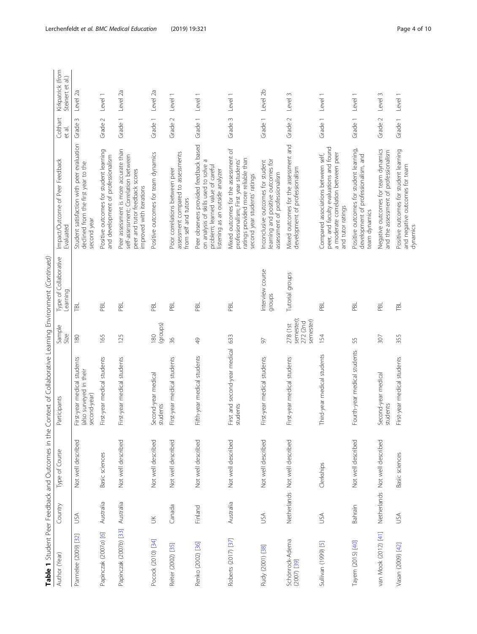| l                                              |
|------------------------------------------------|
| ١                                              |
|                                                |
|                                                |
| ¢                                              |
| ζ<br>l                                         |
|                                                |
| ١                                              |
| Ò                                              |
|                                                |
| ļ                                              |
| ł                                              |
|                                                |
|                                                |
| Ī<br>I                                         |
| i<br>$\mathbf{r}$                              |
| ì                                              |
|                                                |
|                                                |
| l                                              |
| j                                              |
| ã<br>l                                         |
| l                                              |
|                                                |
| ï                                              |
| I                                              |
|                                                |
|                                                |
|                                                |
| $\ddot{\ddot{\ }}$<br>$\overline{\phantom{a}}$ |
|                                                |
| )                                              |
|                                                |
| i<br>j<br>í                                    |
| $\ddot{\phantom{0}}$                           |
| j<br>)<br>֘֝֕֕                                 |
| $\overline{\mathbf{r}}$                        |
| $\mathbf{I}$                                   |
| ١                                              |
|                                                |
| !                                              |
|                                                |
| ì                                              |
|                                                |
| l                                              |
|                                                |
|                                                |
| I                                              |
| j<br>j                                         |
|                                                |
|                                                |
|                                                |
| ١                                              |
|                                                |
| j<br>i                                         |
|                                                |
| ı                                              |
|                                                |
| )<br>)<br>-                                    |
|                                                |
|                                                |
|                                                |
| j                                              |
| j<br>í                                         |
|                                                |
|                                                |
|                                                |
| ī                                              |
|                                                |
|                                                |
|                                                |
| $\vdots$<br>$\frac{1}{2}$<br>I<br>י            |

|                           |             |                                | Table 1 Student Peer Feedback and Outcomes in the Context of Collaborative Learning Environment (Continued) |                                                 |                                   |                                                                                                                                                          |                             |                                       |
|---------------------------|-------------|--------------------------------|-------------------------------------------------------------------------------------------------------------|-------------------------------------------------|-----------------------------------|----------------------------------------------------------------------------------------------------------------------------------------------------------|-----------------------------|---------------------------------------|
| Author (Year)             | Country     | Type of Course                 | Participants                                                                                                | Sample<br>Size                                  | Type of Collaborative<br>Learning | Impact/Outcome of Peer Feedback<br>Evaluated                                                                                                             | Colthart<br>et al.          | Kirkpatrick (from<br>Steinert et al.) |
| Parmelee (2009) [32]      | USA         | Not well described             | First-year medical students<br>(also surveyed in their<br>second-year)                                      | 180                                             | <b>TBL</b>                        | Student satisfaction with peer evaluation<br>declined from the first year to the<br>second year                                                          | S<br>Grade:                 | Level                                 |
| Papinczak (2007a) [6]     | Australia   | Basic sciences                 | First-year medical students                                                                                 | 165                                             | PBL                               | Positive outcomes for student learning<br>and development of professionalism                                                                             | Grade 2                     | Level                                 |
| Papinczak (2007b) [33]    | Australia   | Not well described             | First-year medical students                                                                                 | 125                                             | PBL                               | Peer assessment is more accurate than<br>self-assessment; Correlation between<br>peer and tutor feedback scores<br>improved with iterations              | Grade 1                     | Level 2a                              |
| Pocock (2010) [34]        | $\leq$      | Not well described             | Second-year medical<br>students                                                                             | (groups)<br>180                                 | PBL                               | Positive outcomes for team dynamics                                                                                                                      | Grade 1                     | Level 2a                              |
| Reiter (2002) [35]        | Canada      | Not well described             | First-year medical students                                                                                 | 36                                              | PBL                               | assessment compared to assessments<br>Poor correlations between peen<br>from self and tutors                                                             | Grade 2                     | Level                                 |
| Renko (2002) [36]         | Finland     | Not well described             | Fifth-year medical students                                                                                 | $\frac{1}{2}$                                   | PBL                               | Peer observers provided feedback based<br>on analysis of skills used to solve a<br>problem; learned value of careful<br>listening as an outside analyzer | Grade 1                     | Level                                 |
| Roberts (2017) [37]       | Australia   | Not well described             | First and second-year medical<br>students                                                                   | 633                                             | PBL                               | Mixed outcomes for the assessment of<br>ratings provided more reliable than<br>professionalism; First year students'<br>second year students' ratings    | Grade 3                     | Level                                 |
| Rudy (2001) [38]          | JSA         | Not well described             | First-year medical students                                                                                 | 50                                              | Interview course<br>groups        | learning and positive outcomes for<br>Inconclusive outcomes for student<br>assessment of professionalism                                                 | Grade 1                     | Level 2b                              |
| Schönrock-Adema<br>[3007] |             | Netherlands Not well described | First-year medical students                                                                                 | semester);<br>semester)<br>272 (2nd<br>278 (1st | Tutorial groups                   | Mixed outcomes for the assessment and<br>development of professionalism                                                                                  | Grade 2                     | $\sim$<br>Level                       |
| Sullivan (1999) [5]       | USA         | Clerkships                     | Third-year medical students                                                                                 | 154                                             | PBL                               | peer, and faculty evaluations and found<br>a moderate correlation between peer<br>Compared associations between self,<br>and tutor ratings               | Grade 1                     | Level                                 |
| Tayem (2015) [40]         | Bahrain     | Not well described             | Fourth-year medical students                                                                                | 55                                              | 이                                 | Positive outcomes for student learning,<br>development of professionalism, and<br>team dynamics                                                          | Grade 1                     | Level                                 |
| van Mook (2012) [41]      | Netherlands | Not well described             | Second-year medical<br>students                                                                             | 307                                             | PBL                               | Negative outcomes for team dynamics<br>and the assessment of professionalism                                                                             | $\scriptstyle\sim$<br>Grade | $\sim$<br>Level                       |
| Vasan (2009) [42]         | USA         | Basic sciences                 | First-year medical students                                                                                 | 355                                             | <b>TBL</b>                        | Positive outcomes for student learning<br>and negative outcomes for team<br>dynamics                                                                     | Grade 1                     | Level                                 |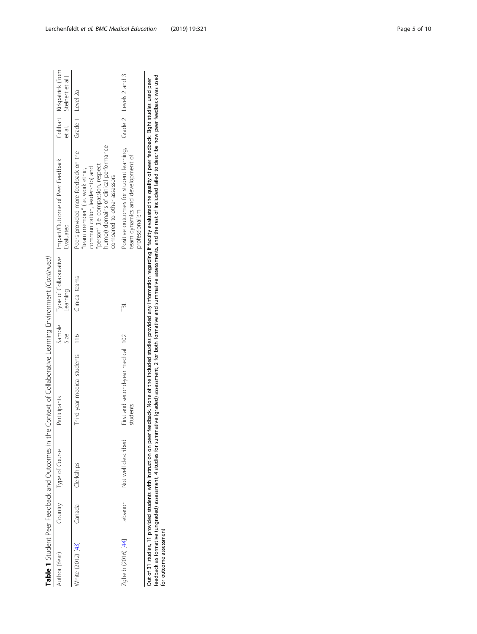|                   | Table 1 Student Peer Feedback and Outcomes in the | Context of Collaborative Learning Environment (Continued) |      |                |                                                                                                                                                                                                                                       |                                                          |
|-------------------|---------------------------------------------------|-----------------------------------------------------------|------|----------------|---------------------------------------------------------------------------------------------------------------------------------------------------------------------------------------------------------------------------------------|----------------------------------------------------------|
| uthor (Year)      | Country Type of Course                            | Participants                                              | Size | Learning       | Sample Type of Collaborative Impact/Outcome of Peer Feedback<br>Evaluated                                                                                                                                                             | Colthart Kirkpatrick (from<br>et al.<br>Steinert et al.) |
| Vhite (2012) [43] | Canada Clerkships                                 | Third-year medical students 116                           |      | Clinical teams | Peers provided more feedback on the Grade 1 Level 2a<br>umor) domains of clinical performance<br>person" (i.e. compassion, respect,<br>ommunication, leadership) and<br>team member" (i.e. work ethic,<br>compared to other assessors |                                                          |

Out of 31 studies, 11 provided students with instruction on peer feedback. None of the included studies provided any information regarding if faculty evaluated the quality of peer feedback. Eight studies used peer<br>for outc feedback as formative (ungraded) assessment, 4 studies for summative (graded) assessment, 2 for both formative and summative assessments, and the rest of included failed to describe how peer feedback was used Out of 31 studies, 11 provided students with instruction on peer feedback. None of the included studies provided any information regarding if faculty evaluated the quality of peer feedback. Eight studies used peer for outcome assessment

Zgheib (2016) [\[44](#page-9-0)] Lebanon Not well described First and second-year medical

Lebanon

Zgheib (2016) [44]

Not well described

students

102 TBL Positive outcomes for student learning,

 $\overline{\mathbb{P}}$ 

 $102$ 

First and second-year medical

team dynamics and development of

Positive outcomes for student learning, team dynamics and development of

professionalism

professionalism

Grade 2 Levels 2 and 3

Grade 2 Levels 2 and 3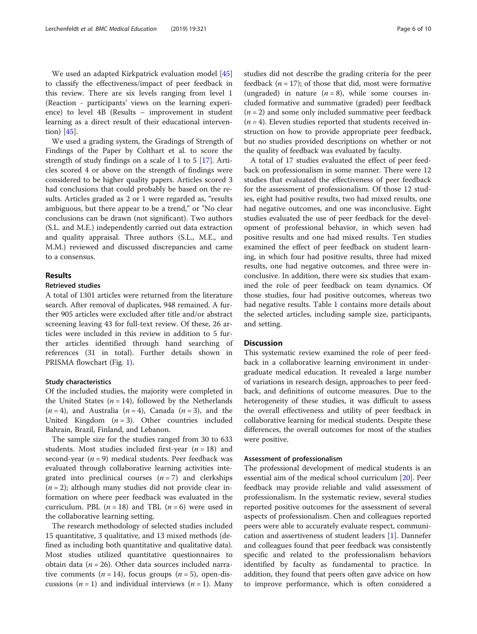We used an adapted Kirkpatrick evaluation model [[45](#page-9-0)] to classify the effectiveness/impact of peer feedback in this review. There are six levels ranging from level 1 (Reaction - participants' views on the learning experience) to level 4B (Results – improvement in student learning as a direct result of their educational intervention) [\[45](#page-9-0)].

We used a grading system, the Gradings of Strength of Findings of the Paper by Colthart et al. to score the strength of study findings on a scale of 1 to 5 [\[17](#page-9-0)]. Articles scored 4 or above on the strength of findings were considered to be higher quality papers. Articles scored 3 had conclusions that could probably be based on the results. Articles graded as 2 or 1 were regarded as, "results ambiguous, but there appear to be a trend," or "No clear conclusions can be drawn (not significant). Two authors (S.L. and M.E.) independently carried out data extraction and quality appraisal. Three authors (S.L., M.E., and M.M.) reviewed and discussed discrepancies and came to a consensus.

#### Results

#### Retrieved studies

A total of 1301 articles were returned from the literature search. After removal of duplicates, 948 remained. A further 905 articles were excluded after title and/or abstract screening leaving 43 for full-text review. Of these, 26 articles were included in this review in addition to 5 further articles identified through hand searching of references (31 in total). Further details shown in PRISMA flowchart (Fig. [1](#page-6-0)).

#### Study characteristics

Of the included studies, the majority were completed in the United States ( $n = 14$ ), followed by the Netherlands  $(n = 4)$ , and Australia  $(n = 4)$ , Canada  $(n = 3)$ , and the United Kingdom  $(n = 3)$ . Other countries included Bahrain, Brazil, Finland, and Lebanon.

The sample size for the studies ranged from 30 to 633 students. Most studies included first-year  $(n = 18)$  and second-year ( $n = 9$ ) medical students. Peer feedback was evaluated through collaborative learning activities integrated into preclinical courses  $(n = 7)$  and clerkships  $(n=2)$ ; although many studies did not provide clear information on where peer feedback was evaluated in the curriculum. PBL  $(n = 18)$  and TBL  $(n = 6)$  were used in the collaborative learning setting.

The research methodology of selected studies included 15 quantitative, 3 qualitative, and 13 mixed methods (defined as including both quantitative and qualitative data). Most studies utilized quantitative questionnaires to obtain data ( $n = 26$ ). Other data sources included narrative comments ( $n = 14$ ), focus groups ( $n = 5$ ), open-discussions ( $n = 1$ ) and individual interviews ( $n = 1$ ). Many studies did not describe the grading criteria for the peer feedback ( $n = 17$ ); of those that did, most were formative (ungraded) in nature  $(n = 8)$ , while some courses included formative and summative (graded) peer feedback  $(n = 2)$  and some only included summative peer feedback  $(n = 4)$ . Eleven studies reported that students received instruction on how to provide appropriate peer feedback, but no studies provided descriptions on whether or not the quality of feedback was evaluated by faculty.

A total of 17 studies evaluated the effect of peer feedback on professionalism in some manner. There were 12 studies that evaluated the effectiveness of peer feedback for the assessment of professionalism. Of those 12 studies, eight had positive results, two had mixed results, one had negative outcomes, and one was inconclusive. Eight studies evaluated the use of peer feedback for the development of professional behavior, in which seven had positive results and one had mixed results. Ten studies examined the effect of peer feedback on student learning, in which four had positive results, three had mixed results, one had negative outcomes, and three were inconclusive. In addition, there were six studies that examined the role of peer feedback on team dynamics. Of those studies, four had positive outcomes, whereas two had negative results. Table [1](#page-2-0) contains more details about the selected articles, including sample size, participants, and setting.

#### **Discussion**

This systematic review examined the role of peer feedback in a collaborative learning environment in undergraduate medical education. It revealed a large number of variations in research design, approaches to peer feedback, and definitions of outcome measures. Due to the heterogeneity of these studies, it was difficult to assess the overall effectiveness and utility of peer feedback in collaborative learning for medical students. Despite these differences, the overall outcomes for most of the studies were positive.

#### Assessment of professionalism

The professional development of medical students is an essential aim of the medical school curriculum [\[20](#page-9-0)]. Peer feedback may provide reliable and valid assessment of professionalism. In the systematic review, several studies reported positive outcomes for the assessment of several aspects of professionalism. Chen and colleagues reported peers were able to accurately evaluate respect, communication and assertiveness of student leaders [\[1](#page-8-0)]. Dannefer and colleagues found that peer feedback was consistently specific and related to the professionalism behaviors identified by faculty as fundamental to practice. In addition, they found that peers often gave advice on how to improve performance, which is often considered a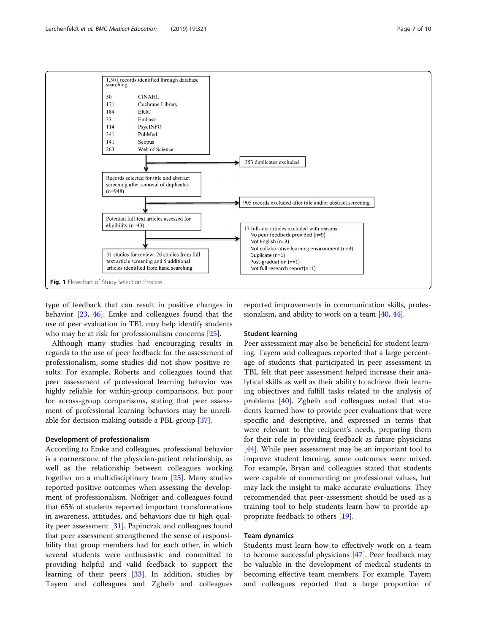<span id="page-6-0"></span>

type of feedback that can result in positive changes in behavior [\[23](#page-9-0), [46\]](#page-9-0). Emke and colleagues found that the use of peer evaluation in TBL may help identify students who may be at risk for professionalism concerns [\[25](#page-9-0)].

Although many studies had encouraging results in regards to the use of peer feedback for the assessment of professionalism, some studies did not show positive results. For example, Roberts and colleagues found that peer assessment of professional learning behavior was highly reliable for within-group comparisons, but poor for across-group comparisons, stating that peer assessment of professional learning behaviors may be unreliable for decision making outside a PBL group [[37\]](#page-9-0).

#### Development of professionalism

According to Emke and colleagues, professional behavior is a cornerstone of the physician-patient relationship, as well as the relationship between colleagues working together on a multidisciplinary team [\[25](#page-9-0)]. Many studies reported positive outcomes when assessing the development of professionalism. Nofziger and colleagues found that 65% of students reported important transformations in awareness, attitudes, and behaviors due to high quality peer assessment [[31\]](#page-9-0). Papinczak and colleagues found that peer assessment strengthened the sense of responsibility that group members had for each other, in which several students were enthusiastic and committed to providing helpful and valid feedback to support the learning of their peers [\[33](#page-9-0)]. In addition, studies by Tayem and colleagues and Zgheib and colleagues reported improvements in communication skills, professionalism, and ability to work on a team  $[40, 44]$  $[40, 44]$  $[40, 44]$  $[40, 44]$  $[40, 44]$ .

#### Student learning

Peer assessment may also be beneficial for student learning. Tayem and colleagues reported that a large percentage of students that participated in peer assessment in TBL felt that peer assessment helped increase their analytical skills as well as their ability to achieve their learning objectives and fulfill tasks related to the analysis of problems [\[40](#page-9-0)]. Zgheib and colleagues noted that students learned how to provide peer evaluations that were specific and descriptive, and expressed in terms that were relevant to the recipient's needs, preparing them for their role in providing feedback as future physicians [[44\]](#page-9-0). While peer assessment may be an important tool to improve student learning, some outcomes were mixed. For example, Bryan and colleagues stated that students were capable of commenting on professional values, but may lack the insight to make accurate evaluations. They recommended that peer-assessment should be used as a training tool to help students learn how to provide appropriate feedback to others [[19](#page-9-0)].

#### Team dynamics

Students must learn how to effectively work on a team to become successful physicians [\[47\]](#page-9-0). Peer feedback may be valuable in the development of medical students in becoming effective team members. For example, Tayem and colleagues reported that a large proportion of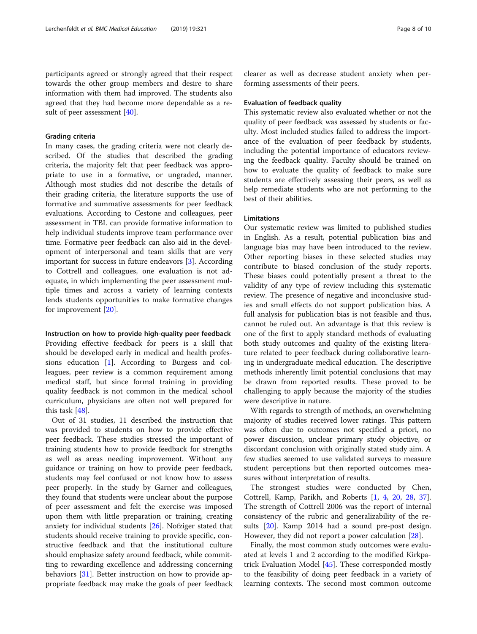#### Grading criteria

sult of peer assessment [\[40](#page-9-0)].

In many cases, the grading criteria were not clearly described. Of the studies that described the grading criteria, the majority felt that peer feedback was appropriate to use in a formative, or ungraded, manner. Although most studies did not describe the details of their grading criteria, the literature supports the use of formative and summative assessments for peer feedback evaluations. According to Cestone and colleagues, peer assessment in TBL can provide formative information to help individual students improve team performance over time. Formative peer feedback can also aid in the development of interpersonal and team skills that are very important for success in future endeavors [[3\]](#page-8-0). According to Cottrell and colleagues, one evaluation is not adequate, in which implementing the peer assessment multiple times and across a variety of learning contexts lends students opportunities to make formative changes for improvement [\[20](#page-9-0)].

### Instruction on how to provide high-quality peer feedback Providing effective feedback for peers is a skill that should be developed early in medical and health professions education [[1\]](#page-8-0). According to Burgess and colleagues, peer review is a common requirement among medical staff, but since formal training in providing quality feedback is not common in the medical school

curriculum, physicians are often not well prepared for

this task [[48\]](#page-9-0). Out of 31 studies, 11 described the instruction that was provided to students on how to provide effective peer feedback. These studies stressed the important of training students how to provide feedback for strengths as well as areas needing improvement. Without any guidance or training on how to provide peer feedback, students may feel confused or not know how to assess peer properly. In the study by Garner and colleagues, they found that students were unclear about the purpose of peer assessment and felt the exercise was imposed upon them with little preparation or training, creating anxiety for individual students [\[26](#page-9-0)]. Nofziger stated that students should receive training to provide specific, constructive feedback and that the institutional culture should emphasize safety around feedback, while committing to rewarding excellence and addressing concerning behaviors [\[31\]](#page-9-0). Better instruction on how to provide appropriate feedback may make the goals of peer feedback

clearer as well as decrease student anxiety when performing assessments of their peers.

#### Evaluation of feedback quality

This systematic review also evaluated whether or not the quality of peer feedback was assessed by students or faculty. Most included studies failed to address the importance of the evaluation of peer feedback by students, including the potential importance of educators reviewing the feedback quality. Faculty should be trained on how to evaluate the quality of feedback to make sure students are effectively assessing their peers, as well as help remediate students who are not performing to the best of their abilities.

#### Limitations

Our systematic review was limited to published studies in English. As a result, potential publication bias and language bias may have been introduced to the review. Other reporting biases in these selected studies may contribute to biased conclusion of the study reports. These biases could potentially present a threat to the validity of any type of review including this systematic review. The presence of negative and inconclusive studies and small effects do not support publication bias. A full analysis for publication bias is not feasible and thus, cannot be ruled out. An advantage is that this review is one of the first to apply standard methods of evaluating both study outcomes and quality of the existing literature related to peer feedback during collaborative learning in undergraduate medical education. The descriptive methods inherently limit potential conclusions that may be drawn from reported results. These proved to be challenging to apply because the majority of the studies were descriptive in nature.

With regards to strength of methods, an overwhelming majority of studies received lower ratings. This pattern was often due to outcomes not specified a priori, no power discussion, unclear primary study objective, or discordant conclusion with originally stated study aim. A few studies seemed to use validated surveys to measure student perceptions but then reported outcomes measures without interpretation of results.

The strongest studies were conducted by Chen, Cottrell, Kamp, Parikh, and Roberts [\[1](#page-8-0), [4](#page-8-0), [20,](#page-9-0) [28,](#page-9-0) [37](#page-9-0)]. The strength of Cottrell 2006 was the report of internal consistency of the rubric and generalizability of the results [\[20](#page-9-0)]. Kamp 2014 had a sound pre-post design. However, they did not report a power calculation [\[28](#page-9-0)].

Finally, the most common study outcomes were evaluated at levels 1 and 2 according to the modified Kirkpatrick Evaluation Model [\[45\]](#page-9-0). These corresponded mostly to the feasibility of doing peer feedback in a variety of learning contexts. The second most common outcome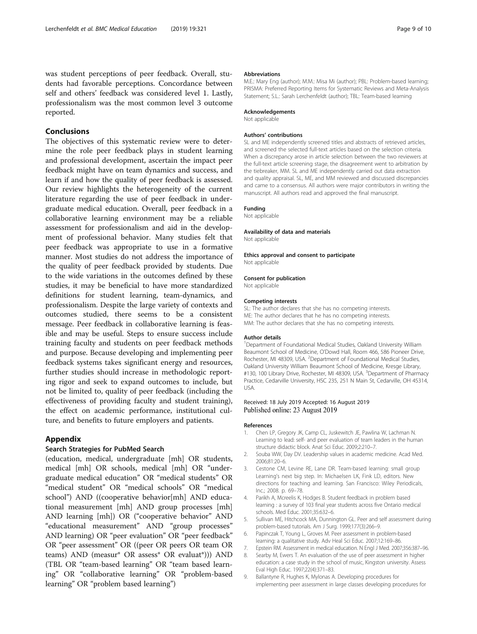#### <span id="page-8-0"></span>Conclusions

The objectives of this systematic review were to determine the role peer feedback plays in student learning and professional development, ascertain the impact peer feedback might have on team dynamics and success, and learn if and how the quality of peer feedback is assessed. Our review highlights the heterogeneity of the current literature regarding the use of peer feedback in undergraduate medical education. Overall, peer feedback in a collaborative learning environment may be a reliable assessment for professionalism and aid in the development of professional behavior. Many studies felt that peer feedback was appropriate to use in a formative manner. Most studies do not address the importance of the quality of peer feedback provided by students. Due to the wide variations in the outcomes defined by these studies, it may be beneficial to have more standardized definitions for student learning, team-dynamics, and professionalism. Despite the large variety of contexts and outcomes studied, there seems to be a consistent message. Peer feedback in collaborative learning is feasible and may be useful. Steps to ensure success include training faculty and students on peer feedback methods and purpose. Because developing and implementing peer feedback systems takes significant energy and resources, further studies should increase in methodologic reporting rigor and seek to expand outcomes to include, but not be limited to, quality of peer feedback (including the effectiveness of providing faculty and student training), the effect on academic performance, institutional culture, and benefits to future employers and patients.

#### Appendix

#### Search Strategies for PubMed Search

(education, medical, undergraduate [mh] OR students, medical [mh] OR schools, medical [mh] OR "undergraduate medical education" OR "medical students" OR "medical student" OR "medical schools" OR "medical school") AND ((cooperative behavior[mh] AND educational measurement [mh] AND group processes [mh] AND learning [mh]) OR ("cooperative behavior" AND "educational measurement" AND "group processes" AND learning) OR "peer evaluation" OR "peer feedback" OR "peer assessment" OR ((peer OR peers OR team OR teams) AND (measur\* OR assess\* OR evaluat\*))) AND (TBL OR "team-based learning" OR "team based learning" OR "collaborative learning" OR "problem-based learning" OR "problem based learning")

#### Abbreviations

M.E.: Mary Eng (author); M.M.: Misa Mi (author); PBL: Problem-based learning; PRISMA: Preferred Reporting Items for Systematic Reviews and Meta-Analysis Statement; S.L.: Sarah Lerchenfeldt (author); TBL: Team-based learning

#### Acknowledgements

Not applicable

#### Authors' contributions

SL and ME independently screened titles and abstracts of retrieved articles. and screened the selected full-text articles based on the selection criteria. When a discrepancy arose in article selection between the two reviewers at the full-text article screening stage, the disagreement went to arbitration by the tiebreaker, MM. SL and ME independently carried out data extraction and quality appraisal. SL, ME, and MM reviewed and discussed discrepancies and came to a consensus. All authors were major contributors in writing the manuscript. All authors read and approved the final manuscript.

#### Funding

Not applicable

#### Availability of data and materials

Not applicable

#### Ethics approval and consent to participate Not applicable

Consent for publication

Not applicable

#### Competing interests

SL: The author declares that she has no competing interests. ME: The author declares that he has no competing interests. MM: The author declares that she has no competing interests.

#### Author details

<sup>1</sup>Department of Foundational Medical Studies, Oakland University William Beaumont School of Medicine, O'Dowd Hall, Room 466, 586 Pioneer Drive, Rochester, MI 48309, USA. <sup>2</sup> Department of Foundational Medical Studies, Oakland University William Beaumont School of Medicine, Kresge Library, #130, 100 Library Drive, Rochester, MI 48309, USA. <sup>3</sup>Department of Pharmacy Practice, Cedarville University, HSC 235, 251 N Main St, Cedarville, OH 45314, USA.

#### Received: 18 July 2019 Accepted: 16 August 2019 Published online: 23 August 2019

#### References

- 1. Chen LP, Gregory JK, Camp CL, Juskewitch JE, Pawlina W, Lachman N. Learning to lead: self- and peer evaluation of team leaders in the human structure didactic block. Anat Sci Educ. 2009;2:210–7.
- 2. Souba WW, Day DV. Leadership values in academic medicine. Acad Med. 2006;81:20–6.
- 3. Cestone CM, Levine RE, Lane DR. Team-based learning: small group Learning's next big step. In: Michaelsen LK, Fink LD, editors. New directions for teaching and learning. San Francisco: Wiley Periodicals, Inc.; 2008. p. 69–78.
- 4. Parikh A, Mcreelis K, Hodges B. Student feedback in problem based learning : a survey of 103 final year students across five Ontario medical schools. Med Educ. 2001;35:632–6.
- 5. Sullivan ME, Hitchcock MA, Dunnington GL. Peer and self assessment during problem-based tutorials. Am J Surg. 1999;177(3):266–9.
- 6. Papinczak T, Young L, Groves M. Peer assessment in problem-based learning: a qualitative study. Adv Heal Sci Educ. 2007;12:169–86.
- 7. Epstein RM. Assessment in medical education. N Engl J Med. 2007;356:387–96.
- 8. Searby M, Ewers T. An evaluation of the use of peer assessment in higher education: a case study in the school of music, Kingston university. Assess Eval High Educ. 1997;22(4):371–83.
- 9. Ballantyne R, Hughes K, Mylonas A. Developing procedures for implementing peer assessment in large classes developing procedures for